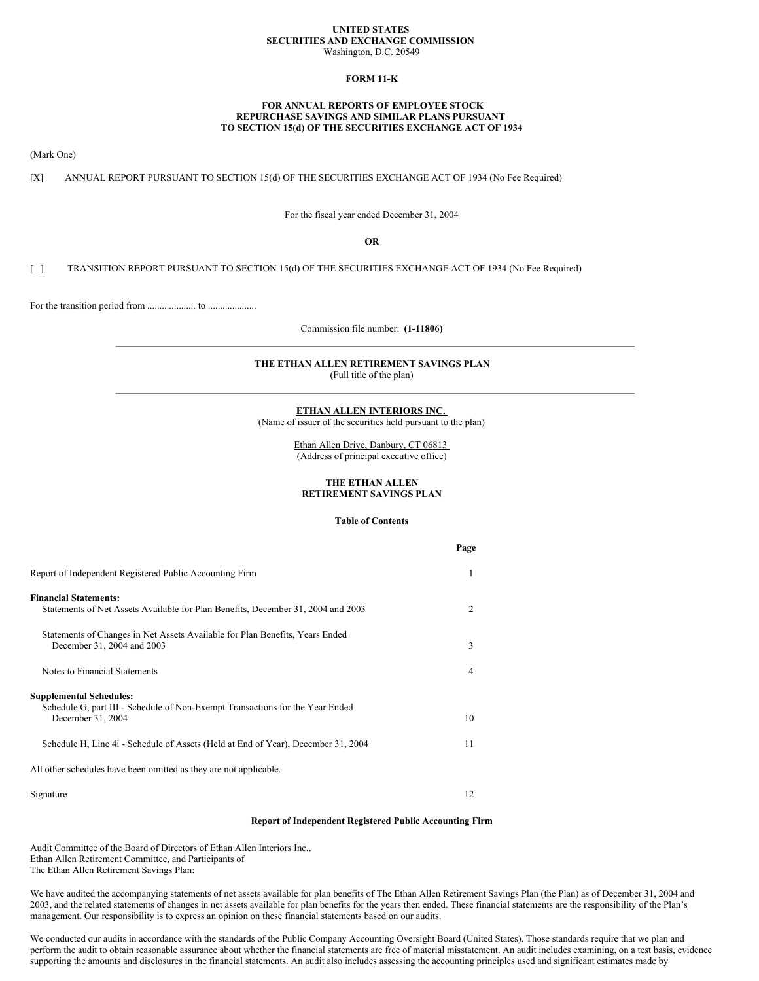#### **UNITED STATES SECURITIES AND EXCHANGE COMMISSION** Washington, D.C. 20549

### **FORM 11-K**

## **FOR ANNUAL REPORTS OF EMPLOYEE STOCK REPURCHASE SAVINGS AND SIMILAR PLANS PURSUANT TO SECTION 15(d) OF THE SECURITIES EXCHANGE ACT OF 1934**

(Mark One)

[X] ANNUAL REPORT PURSUANT TO SECTION 15(d) OF THE SECURITIES EXCHANGE ACT OF 1934 (No Fee Required)

For the fiscal year ended December 31, 2004

**OR**

[ ] TRANSITION REPORT PURSUANT TO SECTION 15(d) OF THE SECURITIES EXCHANGE ACT OF 1934 (No Fee Required)

For the transition period from .................... to ....................

Commission file number: **(1-11806)**

# **THE ETHAN ALLEN RETIREMENT SAVINGS PLAN**

(Full title of the plan)

#### **ETHAN ALLEN INTERIORS INC.**

(Name of issuer of the securities held pursuant to the plan)

Ethan Allen Drive, Danbury, CT 06813 (Address of principal executive office)

## **THE ETHAN ALLEN RETIREMENT SAVINGS PLAN**

## **Table of Contents**

|                                                                                                                                      | Page |
|--------------------------------------------------------------------------------------------------------------------------------------|------|
| Report of Independent Registered Public Accounting Firm                                                                              | 1    |
| <b>Financial Statements:</b><br>Statements of Net Assets Available for Plan Benefits, December 31, 2004 and 2003                     | 2    |
| Statements of Changes in Net Assets Available for Plan Benefits, Years Ended<br>December 31, 2004 and 2003                           | 3    |
| Notes to Financial Statements                                                                                                        | 4    |
| <b>Supplemental Schedules:</b><br>Schedule G, part III - Schedule of Non-Exempt Transactions for the Year Ended<br>December 31, 2004 | 10   |
| Schedule H, Line 4i - Schedule of Assets (Held at End of Year), December 31, 2004                                                    | 11   |
| All other schedules have been omitted as they are not applicable.                                                                    |      |
| Signature                                                                                                                            | 12   |

### **Report of Independent Registered Public Accounting Firm**

Audit Committee of the Board of Directors of Ethan Allen Interiors Inc., Ethan Allen Retirement Committee, and Participants of The Ethan Allen Retirement Savings Plan:

We have audited the accompanying statements of net assets available for plan benefits of The Ethan Allen Retirement Savings Plan (the Plan) as of December 31, 2004 and 2003, and the related statements of changes in net assets available for plan benefits for the years then ended. These financial statements are the responsibility of the Plan's management. Our responsibility is to express an opinion on these financial statements based on our audits.

We conducted our audits in accordance with the standards of the Public Company Accounting Oversight Board (United States). Those standards require that we plan and perform the audit to obtain reasonable assurance about whether the financial statements are free of material misstatement. An audit includes examining, on a test basis, evidence supporting the amounts and disclosures in the financial statements. An audit also includes assessing the accounting principles used and significant estimates made by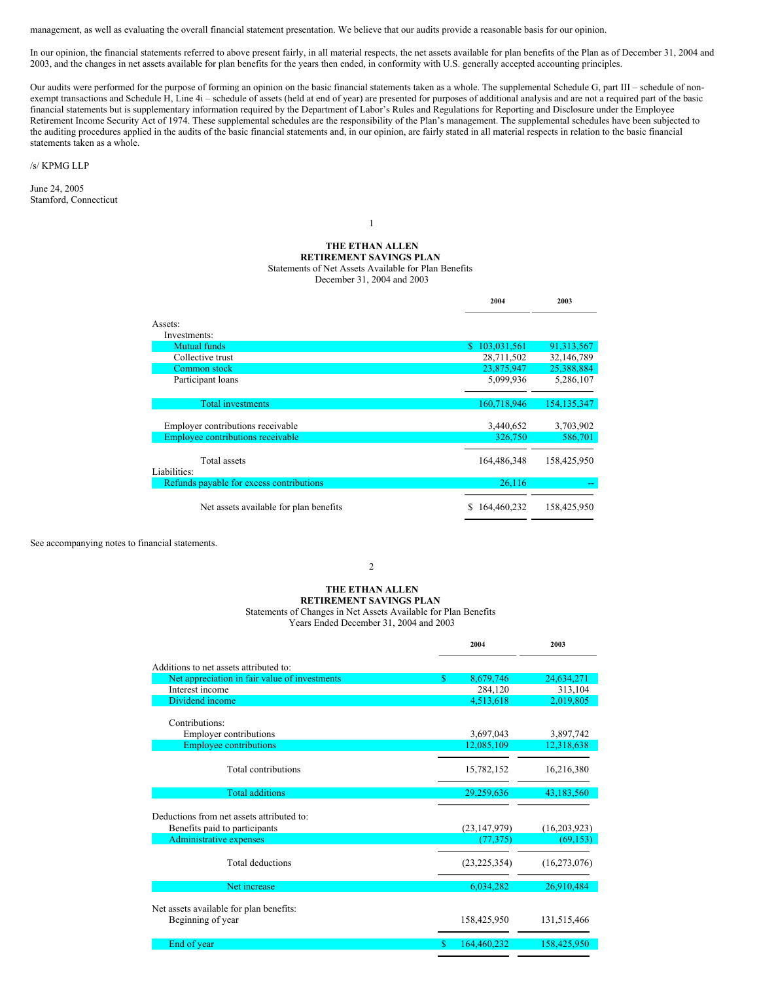management, as well as evaluating the overall financial statement presentation. We believe that our audits provide a reasonable basis for our opinion.

In our opinion, the financial statements referred to above present fairly, in all material respects, the net assets available for plan benefits of the Plan as of December 31, 2004 and 2003, and the changes in net assets available for plan benefits for the years then ended, in conformity with U.S. generally accepted accounting principles.

Our audits were performed for the purpose of forming an opinion on the basic financial statements taken as a whole. The supplemental Schedule G, part III – schedule of nonexempt transactions and Schedule H, Line 4i – schedule of assets (held at end of year) are presented for purposes of additional analysis and are not a required part of the basic financial statements but is supplementary information required by the Department of Labor's Rules and Regulations for Reporting and Disclosure under the Employee Retirement Income Security Act of 1974. These supplemental schedules are the responsibility of the Plan's management. The supplemental schedules have been subjected to the auditing procedures applied in the audits of the basic financial statements and, in our opinion, are fairly stated in all material respects in relation to the basic financial statements taken as a whole.

/s/ KPMG LLP

June 24, 2005 Stamford, Connecticut

## **THE ETHAN ALLEN RETIREMENT SAVINGS PLAN** Statements of Net Assets Available for Plan Benefits December 31, 2004 and 2003

**2004 2003**

1

|                                          | 400T             | 200J          |
|------------------------------------------|------------------|---------------|
| Assets:                                  |                  |               |
| Investments:                             |                  |               |
| Mutual funds                             | \$103,031,561    | 91,313,567    |
| Collective trust                         | 28,711,502       | 32,146,789    |
| Common stock                             | 23,875,947       | 25,388,884    |
| Participant loans                        | 5,099,936        | 5,286,107     |
|                                          |                  |               |
| <b>Total investments</b>                 | 160,718,946      | 154, 135, 347 |
| Employer contributions receivable        | 3,440,652        | 3,703,902     |
| Employee contributions receivable        | 326,750          | 586,701       |
|                                          |                  |               |
| Total assets                             | 164,486,348      | 158,425,950   |
| Liabilities:                             |                  |               |
| Refunds payable for excess contributions | 26,116           |               |
| Net assets available for plan benefits   | S<br>164,460,232 | 158,425,950   |

See accompanying notes to financial statements.

2

# **THE ETHAN ALLEN**

**RETIREMENT SAVINGS PLAN** Statements of Changes in Net Assets Available for Plan Benefits

Years Ended December 31, 2004 and 2003

|                                                                            |    | 2004           | 2003           |
|----------------------------------------------------------------------------|----|----------------|----------------|
| Additions to net assets attributed to:                                     |    |                |                |
| Net appreciation in fair value of investments                              | \$ | 8,679,746      | 24,634,271     |
| Interest income                                                            |    | 284,120        | 313,104        |
| Dividend income                                                            |    | 4,513,618      | 2,019,805      |
| Contributions:                                                             |    |                |                |
| <b>Employer contributions</b>                                              |    | 3,697,043      | 3,897,742      |
| <b>Employee contributions</b>                                              |    | 12,085,109     | 12,318,638     |
| Total contributions                                                        |    | 15,782,152     | 16,216,380     |
| <b>Total additions</b>                                                     |    | 29,259,636     | 43,183,560     |
| Deductions from net assets attributed to:<br>Benefits paid to participants |    | (23, 147, 979) | (16,203,923)   |
| <b>Administrative expenses</b>                                             |    | (77, 375)      | (69, 153)      |
| Total deductions                                                           |    | (23, 225, 354) | (16, 273, 076) |
| Net increase                                                               |    | 6,034,282      | 26,910,484     |
| Net assets available for plan benefits:<br>Beginning of year               |    | 158,425,950    | 131,515,466    |
| End of year                                                                | S. | 164,460,232    | 158,425,950    |
|                                                                            |    |                |                |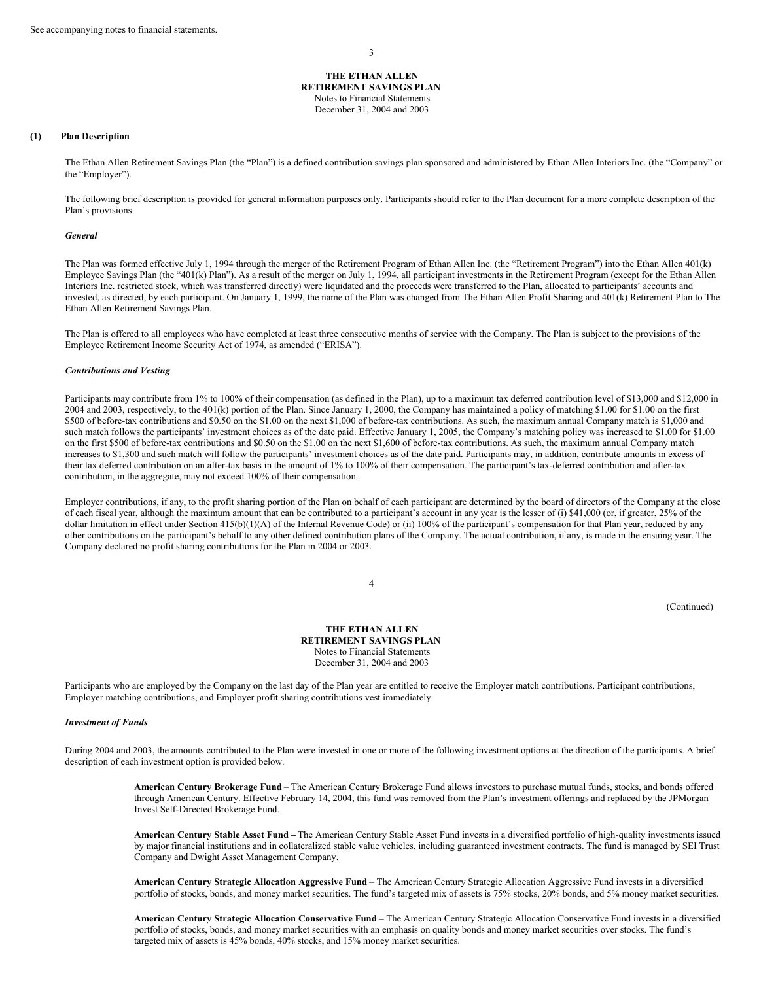**THE ETHAN ALLEN RETIREMENT SAVINGS PLAN** Notes to Financial Statements December 31, 2004 and 2003

#### **(1) Plan Description**

The Ethan Allen Retirement Savings Plan (the "Plan") is a defined contribution savings plan sponsored and administered by Ethan Allen Interiors Inc. (the "Company" or the "Employer").

The following brief description is provided for general information purposes only. Participants should refer to the Plan document for a more complete description of the Plan's provisions.

#### *General*

The Plan was formed effective July 1, 1994 through the merger of the Retirement Program of Ethan Allen Inc. (the "Retirement Program") into the Ethan Allen 401(k) Employee Savings Plan (the "401(k) Plan"). As a result of the merger on July 1, 1994, all participant investments in the Retirement Program (except for the Ethan Allen Interiors Inc. restricted stock, which was transferred directly) were liquidated and the proceeds were transferred to the Plan, allocated to participants' accounts and invested, as directed, by each participant. On January 1, 1999, the name of the Plan was changed from The Ethan Allen Profit Sharing and 401(k) Retirement Plan to The Ethan Allen Retirement Savings Plan.

The Plan is offered to all employees who have completed at least three consecutive months of service with the Company. The Plan is subject to the provisions of the Employee Retirement Income Security Act of 1974, as amended ("ERISA").

#### *Contributions and Vesting*

Participants may contribute from 1% to 100% of their compensation (as defined in the Plan), up to a maximum tax deferred contribution level of \$13,000 and \$12,000 in 2004 and 2003, respectively, to the 401(k) portion of the Plan. Since January 1, 2000, the Company has maintained a policy of matching \$1.00 for \$1.00 on the first \$500 of before-tax contributions and \$0.50 on the \$1.00 on the next \$1,000 of before-tax contributions. As such, the maximum annual Company match is \$1,000 and such match follows the participants' investment choices as of the date paid. Effective January 1, 2005, the Company's matching policy was increased to \$1.00 for \$1.00 on the first \$500 of before-tax contributions and \$0.50 on the \$1.00 on the next \$1,600 of before-tax contributions. As such, the maximum annual Company match increases to \$1,300 and such match will follow the participants' investment choices as of the date paid. Participants may, in addition, contribute amounts in excess of their tax deferred contribution on an after-tax basis in the amount of 1% to 100% of their compensation. The participant's tax-deferred contribution and after-tax contribution, in the aggregate, may not exceed 100% of their compensation.

Employer contributions, if any, to the profit sharing portion of the Plan on behalf of each participant are determined by the board of directors of the Company at the close of each fiscal year, although the maximum amount that can be contributed to a participant's account in any year is the lesser of (i) \$41,000 (or, if greater, 25% of the dollar limitation in effect under Section 415(b)(1)(A) of the Internal Revenue Code) or (ii) 100% of the participant's compensation for that Plan year, reduced by any other contributions on the participant's behalf to any other defined contribution plans of the Company. The actual contribution, if any, is made in the ensuing year. The Company declared no profit sharing contributions for the Plan in 2004 or 2003.

4

(Continued)

**THE ETHAN ALLEN RETIREMENT SAVINGS PLAN** Notes to Financial Statements December 31, 2004 and 2003

Participants who are employed by the Company on the last day of the Plan year are entitled to receive the Employer match contributions. Participant contributions, Employer matching contributions, and Employer profit sharing contributions vest immediately.

#### *Investment of Funds*

During 2004 and 2003, the amounts contributed to the Plan were invested in one or more of the following investment options at the direction of the participants. A brief description of each investment option is provided below.

> **American Century Brokerage Fund** – The American Century Brokerage Fund allows investors to purchase mutual funds, stocks, and bonds offered through American Century. Effective February 14, 2004, this fund was removed from the Plan's investment offerings and replaced by the JPMorgan Invest Self-Directed Brokerage Fund.

**American Century Stable Asset Fund –** The American Century Stable Asset Fund invests in a diversified portfolio of high-quality investments issued by major financial institutions and in collateralized stable value vehicles, including guaranteed investment contracts. The fund is managed by SEI Trust Company and Dwight Asset Management Company.

**American Century Strategic Allocation Aggressive Fund** – The American Century Strategic Allocation Aggressive Fund invests in a diversified portfolio of stocks, bonds, and money market securities. The fund's targeted mix of assets is 75% stocks, 20% bonds, and 5% money market securities.

**American Century Strategic Allocation Conservative Fund** – The American Century Strategic Allocation Conservative Fund invests in a diversified portfolio of stocks, bonds, and money market securities with an emphasis on quality bonds and money market securities over stocks. The fund's targeted mix of assets is 45% bonds, 40% stocks, and 15% money market securities.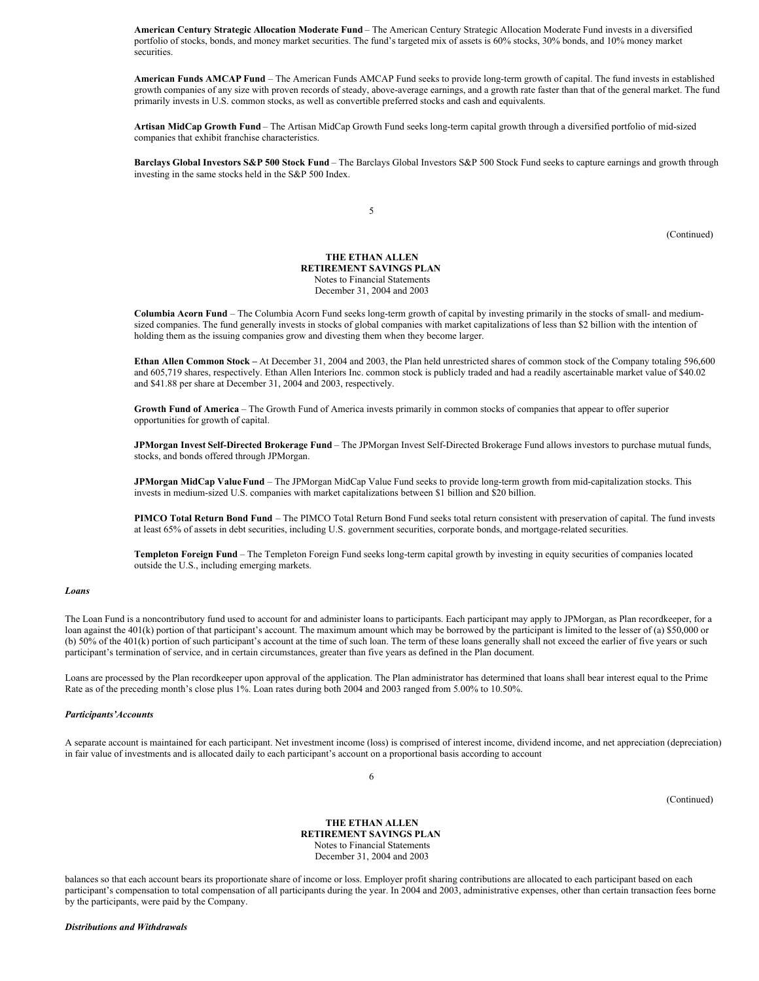**American Century Strategic Allocation Moderate Fund** – The American Century Strategic Allocation Moderate Fund invests in a diversified portfolio of stocks, bonds, and money market securities. The fund's targeted mix of assets is 60% stocks, 30% bonds, and 10% money market securities.

**American Funds AMCAP Fund** – The American Funds AMCAP Fund seeks to provide long-term growth of capital. The fund invests in established growth companies of any size with proven records of steady, above-average earnings, and a growth rate faster than that of the general market. The fund primarily invests in U.S. common stocks, as well as convertible preferred stocks and cash and equivalents.

**Artisan MidCap Growth Fund** – The Artisan MidCap Growth Fund seeks long-term capital growth through a diversified portfolio of mid-sized companies that exhibit franchise characteristics.

**Barclays Global Investors S&P 500 Stock Fund** – The Barclays Global Investors S&P 500 Stock Fund seeks to capture earnings and growth through investing in the same stocks held in the S&P 500 Index.

5

(Continued)

## **THE ETHAN ALLEN RETIREMENT SAVINGS PLAN** Notes to Financial Statements December 31, 2004 and 2003

**Columbia Acorn Fund** – The Columbia Acorn Fund seeks long-term growth of capital by investing primarily in the stocks of small- and mediumsized companies. The fund generally invests in stocks of global companies with market capitalizations of less than \$2 billion with the intention of holding them as the issuing companies grow and divesting them when they become larger.

**Ethan Allen Common Stock –** At December 31, 2004 and 2003, the Plan held unrestricted shares of common stock of the Company totaling 596,600 and 605,719 shares, respectively. Ethan Allen Interiors Inc. common stock is publicly traded and had a readily ascertainable market value of \$40.02 and \$41.88 per share at December 31, 2004 and 2003, respectively.

**Growth Fund of America** – The Growth Fund of America invests primarily in common stocks of companies that appear to offer superior opportunities for growth of capital.

**JPMorgan Invest Self-Directed Brokerage Fund** – The JPMorgan Invest Self-Directed Brokerage Fund allows investors to purchase mutual funds, stocks, and bonds offered through JPMorgan.

**JPMorgan MidCap ValueFund** – The JPMorgan MidCap Value Fund seeks to provide long-term growth from mid-capitalization stocks. This invests in medium-sized U.S. companies with market capitalizations between \$1 billion and \$20 billion.

**PIMCO Total Return Bond Fund** – The PIMCO Total Return Bond Fund seeks total return consistent with preservation of capital. The fund invests at least 65% of assets in debt securities, including U.S. government securities, corporate bonds, and mortgage-related securities.

**Templeton Foreign Fund** – The Templeton Foreign Fund seeks long-term capital growth by investing in equity securities of companies located outside the U.S., including emerging markets.

## *Loans*

The Loan Fund is a noncontributory fund used to account for and administer loans to participants. Each participant may apply to JPMorgan, as Plan recordkeeper, for a loan against the 401(k) portion of that participant's account. The maximum amount which may be borrowed by the participant is limited to the lesser of (a) \$50,000 or (b) 50% of the 401(k) portion of such participant's account at the time of such loan. The term of these loans generally shall not exceed the earlier of five years or such participant's termination of service, and in certain circumstances, greater than five years as defined in the Plan document.

Loans are processed by the Plan recordkeeper upon approval of the application. The Plan administrator has determined that loans shall bear interest equal to the Prime Rate as of the preceding month's close plus 1%. Loan rates during both 2004 and 2003 ranged from 5.00% to 10.50%.

#### *Participants'Accounts*

A separate account is maintained for each participant. Net investment income (loss) is comprised of interest income, dividend income, and net appreciation (depreciation) in fair value of investments and is allocated daily to each participant's account on a proportional basis according to account

(Continued)

**THE ETHAN ALLEN RETIREMENT SAVINGS PLAN** Notes to Financial Statements December 31, 2004 and 2003

6

balances so that each account bears its proportionate share of income or loss. Employer profit sharing contributions are allocated to each participant based on each participant's compensation to total compensation of all participants during the year. In 2004 and 2003, administrative expenses, other than certain transaction fees borne by the participants, were paid by the Company.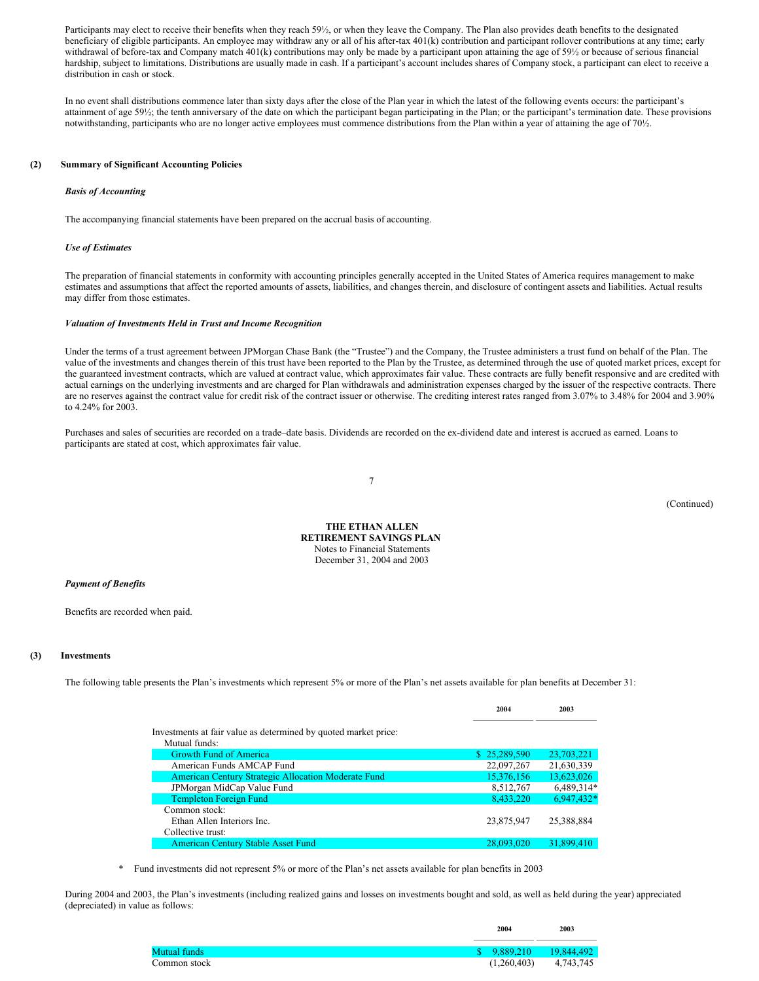Participants may elect to receive their benefits when they reach 59½, or when they leave the Company. The Plan also provides death benefits to the designated beneficiary of eligible participants. An employee may withdraw any or all of his after-tax 401(k) contribution and participant rollover contributions at any time; early withdrawal of before-tax and Company match 401(k) contributions may only be made by a participant upon attaining the age of 59½ or because of serious financial hardship, subject to limitations. Distributions are usually made in cash. If a participant's account includes shares of Company stock, a participant can elect to receive a distribution in cash or stock.

In no event shall distributions commence later than sixty days after the close of the Plan year in which the latest of the following events occurs: the participant's attainment of age 59½; the tenth anniversary of the date on which the participant began participating in the Plan; or the participant's termination date. These provisions notwithstanding, participants who are no longer active employees must commence distributions from the Plan within a year of attaining the age of 70½.

## **(2) Summary of Significant Accounting Policies**

#### *Basis of Accounting*

The accompanying financial statements have been prepared on the accrual basis of accounting.

#### *Use of Estimates*

The preparation of financial statements in conformity with accounting principles generally accepted in the United States of America requires management to make estimates and assumptions that affect the reported amounts of assets, liabilities, and changes therein, and disclosure of contingent assets and liabilities. Actual results may differ from those estimates.

#### *Valuation of Investments Held in Trust and Income Recognition*

Under the terms of a trust agreement between JPMorgan Chase Bank (the "Trustee") and the Company, the Trustee administers a trust fund on behalf of the Plan. The value of the investments and changes therein of this trust have been reported to the Plan by the Trustee, as determined through the use of quoted market prices, except for the guaranteed investment contracts, which are valued at contract value, which approximates fair value. These contracts are fully benefit responsive and are credited with actual earnings on the underlying investments and are charged for Plan withdrawals and administration expenses charged by the issuer of the respective contracts. There are no reserves against the contract value for credit risk of the contract issuer or otherwise. The crediting interest rates ranged from 3.07% to 3.48% for 2004 and 3.90% to 4.24% for 2003.

Purchases and sales of securities are recorded on a trade–date basis. Dividends are recorded on the ex-dividend date and interest is accrued as earned. Loans to participants are stated at cost, which approximates fair value.

7

(Continued)

**THE ETHAN ALLEN RETIREMENT SAVINGS PLAN** Notes to Financial Statements December 31, 2004 and 2003

#### *Payment of Benefits*

Benefits are recorded when paid.

#### **(3) Investments**

The following table presents the Plan's investments which represent 5% or more of the Plan's net assets available for plan benefits at December 31:

|                                                                                  | 2004         | 2003       |
|----------------------------------------------------------------------------------|--------------|------------|
| Investments at fair value as determined by quoted market price:<br>Mutual funds: |              |            |
| <b>Growth Fund of America</b>                                                    | \$25,289,590 | 23,703,221 |
| American Funds AMCAP Fund                                                        | 22,097,267   | 21,630,339 |
| <b>American Century Strategic Allocation Moderate Fund</b>                       | 15,376,156   | 13,623,026 |
| JPMorgan MidCap Value Fund                                                       | 8,512,767    | 6,489,314* |
| <b>Templeton Foreign Fund</b>                                                    | 8,433,220    | 6,947,432* |
| Common stock:<br>Ethan Allen Interiors Inc.<br>Collective trust:                 | 23,875,947   | 25,388,884 |
| <b>American Century Stable Asset Fund</b>                                        | 28,093,020   | 31,899,410 |

Fund investments did not represent 5% or more of the Plan's net assets available for plan benefits in 2003

During 2004 and 2003, the Plan's investments (including realized gains and losses on investments bought and sold, as well as held during the year) appreciated (depreciated) in value as follows:

|              | 2004         | 2003       |
|--------------|--------------|------------|
| Mutual funds | \$ 9.889.210 | 19.844.492 |
| Common stock | (1,260,403)  | 4,743,745  |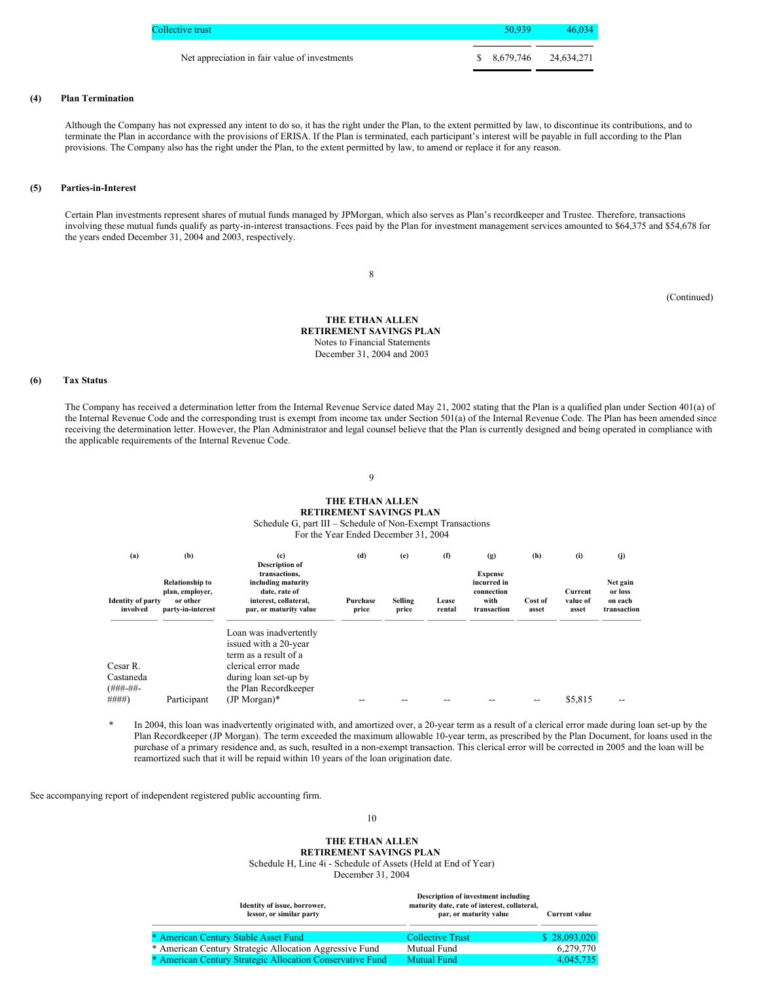| Collective trust                              | 50.939 | $-46.034$               |
|-----------------------------------------------|--------|-------------------------|
| Net appreciation in fair value of investments |        | $$8,679,746$ 24,634,271 |

## **(4) Plan Termination**

Although the Company has not expressed any intent to do so, it has the right under the Plan, to the extent permitted by law, to discontinue its contributions, and to terminate the Plan in accordance with the provisions of ERISA. If the Plan is terminated, each participant's interest will be payable in full according to the Plan provisions. The Company also has the right under the Plan, to the extent permitted by law, to amend or replace it for any reason.

## **(5) Parties-in-Interest**

Certain Plan investments represent shares of mutual funds managed by JPMorgan, which also serves as Plan's recordkeeper and Trustee. Therefore, transactions involving these mutual funds qualify as party-in-interest transactions. Fees paid by the Plan for investment management services amounted to \$64,375 and \$54,678 for the years ended December 31, 2004 and 2003, respectively.

8

(Continued)

**THE ETHAN ALLEN RETIREMENT SAVINGS PLAN** Notes to Financial Statements December 31, 2004 and 2003

## **(6) Tax Status**

The Company has received a determination letter from the Internal Revenue Service dated May 21, 2002 stating that the Plan is a qualified plan under Section 401(a) of the Internal Revenue Code and the corresponding trust is exempt from income tax under Section 501(a) of the Internal Revenue Code. The Plan has been amended since receiving the determination letter. However, the Plan Administrator and legal counsel believe that the Plan is currently designed and being operated in compliance with the applicable requirements of the Internal Revenue Code.

9

# **THE ETHAN ALLEN RETIREMENT SAVINGS PLAN**

Schedule G, part III – Schedule of Non-Exempt Transactions

For the Year Ended December 31, 2004

| (a)                                  | (b)                                                                        | (c)<br><b>Description of</b>                                                                            | (d)               | (e)              | (f)             | (g)                                                                | (h)              | (i)                          | (i)                                           |
|--------------------------------------|----------------------------------------------------------------------------|---------------------------------------------------------------------------------------------------------|-------------------|------------------|-----------------|--------------------------------------------------------------------|------------------|------------------------------|-----------------------------------------------|
| <b>Identity of party</b><br>involved | <b>Relationship to</b><br>plan, employer,<br>or other<br>party-in-interest | transactions.<br>including maturity<br>date, rate of<br>interest, collateral,<br>par, or maturity value | Purchase<br>price | Selling<br>price | Lease<br>rental | <b>Expense</b><br>incurred in<br>connection<br>with<br>transaction | Cost of<br>asset | Current<br>value of<br>asset | Net gain<br>or loss<br>on each<br>transaction |
|                                      |                                                                            | Loan was inadvertently<br>issued with a 20-year<br>term as a result of a                                |                   |                  |                 |                                                                    |                  |                              |                                               |
| Cesar R.                             |                                                                            | clerical error made                                                                                     |                   |                  |                 |                                                                    |                  |                              |                                               |
| Castaneda<br>$(HHH - HH -$           |                                                                            | during loan set-up by<br>the Plan Recordkeeper                                                          |                   |                  |                 |                                                                    |                  |                              |                                               |
| ####)                                | Participant                                                                | $(JP Morgan)*$                                                                                          |                   |                  |                 |                                                                    | --               | \$5.815                      |                                               |

In 2004, this loan was inadvertently originated with, and amortized over, a 20-year term as a result of a clerical error made during loan set-up by the Plan Recordkeeper (JP Morgan). The term exceeded the maximum allowable 10-year term, as prescribed by the Plan Document, for loans used in the purchase of a primary residence and, as such, resulted in a non-exempt transaction. This clerical error will be corrected in 2005 and the loan will be reamortized such that it will be repaid within 10 years of the loan origination date.

See accompanying report of independent registered public accounting firm.

10

## **THE ETHAN ALLEN RETIREMENT SAVINGS PLAN**

Schedule H, Line 4i - Schedule of Assets (Held at End of Year) December 31, 2004

| Identity of issue, borrower,<br>lessor, or similar party  | Description of investment including<br>maturity date, rate of interest, collateral,<br>par, or maturity value | <b>Current value</b> |
|-----------------------------------------------------------|---------------------------------------------------------------------------------------------------------------|----------------------|
| * American Century Stable Asset Fund                      | <b>Collective Trust</b>                                                                                       | \$28,093,020         |
| * American Century Strategic Allocation Aggressive Fund   | Mutual Fund                                                                                                   | 6,279,770            |
| * American Century Strategic Allocation Conservative Fund | Mutual Fund                                                                                                   | 4.045.735            |